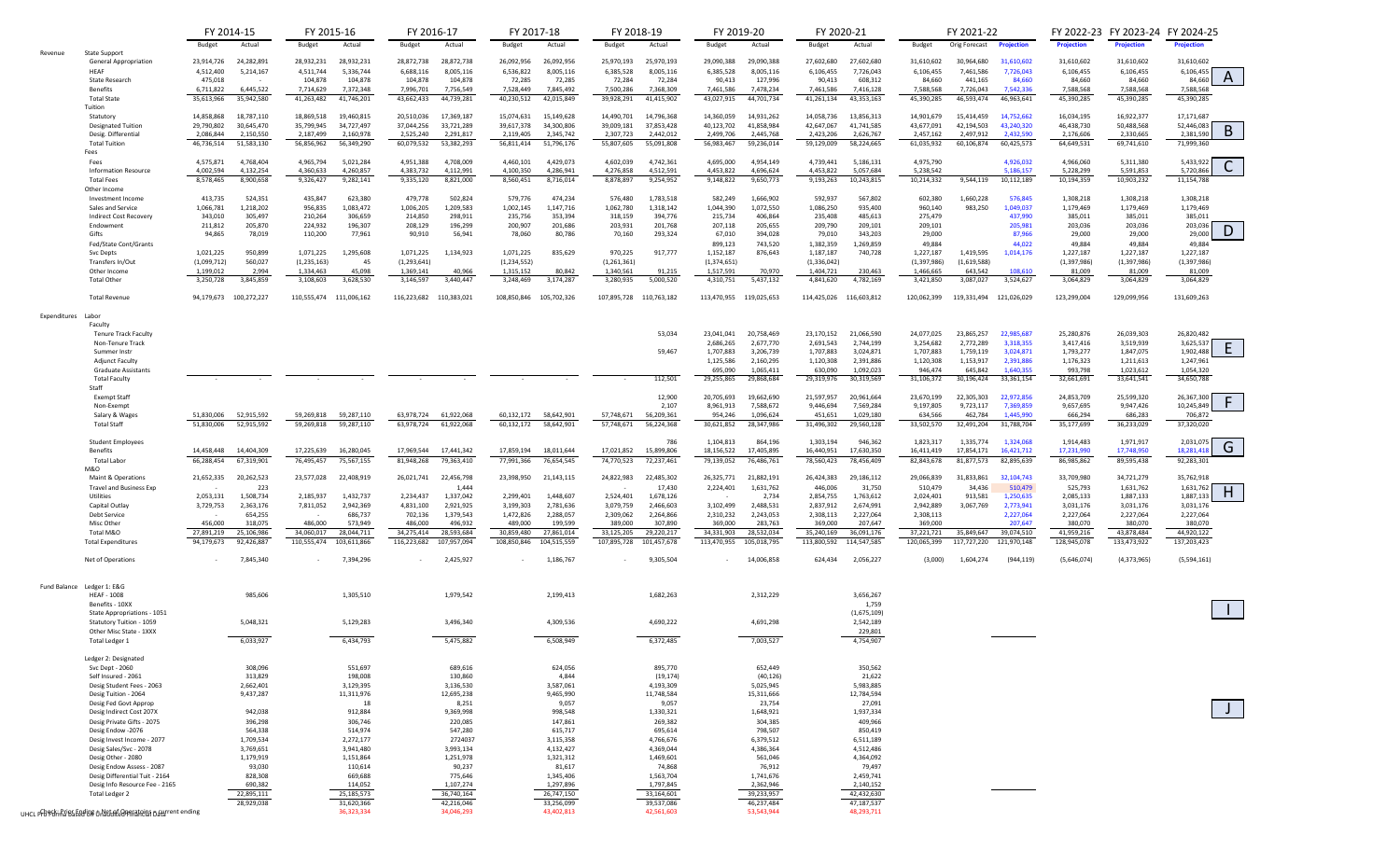|              |                                                              | FY 2014-15                             | FY 2015-16                                             | FY 2016-17                                             | FY 2017-18                                             | FY 2018-19                                 | FY 2019-20                                             | FY 2020-21                                             | FY 2021-22                                                                    |                           | FY 2022-23 FY 2023-24 FY 2024-25 |                               |
|--------------|--------------------------------------------------------------|----------------------------------------|--------------------------------------------------------|--------------------------------------------------------|--------------------------------------------------------|--------------------------------------------|--------------------------------------------------------|--------------------------------------------------------|-------------------------------------------------------------------------------|---------------------------|----------------------------------|-------------------------------|
|              |                                                              | Actual<br>Budget                       | Actual<br>Budget                                       | Budget<br>Actual                                       | Actual<br>Budget                                       | Budget<br>Actual                           | Actual<br>Budget                                       | Actual<br>Budget                                       | Budget<br>Orig Forecast<br><b>Projection</b>                                  | <b>Projection</b>         | <b>Projection</b>                | <b>Projection</b>             |
| Revenue      | <b>State Support</b>                                         |                                        |                                                        |                                                        |                                                        |                                            |                                                        |                                                        |                                                                               |                           |                                  |                               |
|              | <b>General Appropriation</b>                                 | 23,914,726<br>24,282,891               | 28,932,231<br>28,932,231                               | 28,872,738<br>28,872,738                               | 26,092,956<br>26,092,956                               | 25,970,193<br>25,970,193                   | 29,090,388<br>29,090,388                               | 27,602,680<br>27,602,680                               | 31,610,602<br>31,610,602<br>30,964,680                                        | 31,610,602                | 31,610,602                       | 31,610,602                    |
|              | HEAF<br>State Research                                       | 4,512,400<br>5,214,167<br>475,018      | 4,511,744<br>5,336,744<br>104,878<br>104,878           | 8,005,116<br>6,688,116<br>104,878<br>104,878           | 6,536,822<br>8,005,116<br>72,285<br>72,285             | 6,385,528<br>8,005,116<br>72,284<br>72,284 | 8,005,116<br>6,385,528<br>90,413<br>127,996            | 6,106,455<br>7,726,043<br>90,413<br>608,312            | 7,461,586<br>7,726,043<br>6,106,455<br>441,165<br>84,660<br>84,660            | 6,106,455<br>84,660       | 6,106,455<br>84,660              | 6,106,455<br>A<br>84,660      |
|              | <b>Benefits</b>                                              | 6,445,522<br>6,711,822                 | 7,372,348<br>7,714,629                                 | 7,996,701<br>7,756,549                                 | 7,528,449<br>7,845,492                                 | 7,500,286<br>7,368,309                     | 7,461,586<br>7,478,234                                 | 7,416,128<br>7,461,586                                 | 7,588,568<br>7,542,336<br>7,726,043                                           | 7,588,568                 | 7,588,568                        | 7,588,568                     |
|              | <b>Total State</b>                                           | 35,613,966<br>35,942,580               | 41,263,482<br>41,746,201                               | 44,739,281<br>43,662,433                               | 40,230,512<br>42,015,849                               | 39,928,291<br>41,415,902                   | 43,027,915<br>44,701,734                               | 41,261,134<br>43,353,163                               | 45,390,285<br>46,593,474<br>46,963,641                                        | 45,390,285                | 45,390,285                       | 45,390,285                    |
|              | Tuition                                                      |                                        |                                                        |                                                        |                                                        |                                            |                                                        |                                                        |                                                                               |                           |                                  |                               |
|              | Statutory                                                    | 18,787,110<br>14,858,868               | 18,869,518<br>19,460,815                               | 17,369,187<br>20,510,036                               | 15,149,628<br>15,074,631                               | 14,490,701<br>14,796,368                   | 14,360,059<br>14,931,262                               | 13,856,313<br>14,058,736                               | 14,901,679<br>14,752,662<br>15,414,459                                        | 16,034,195                | 16,922,377                       | 17,171,687                    |
|              | <b>Designated Tuition</b>                                    | 30,645,470<br>29,790,802               | 35,799,945<br>34,727,497                               | 37,044,256<br>33,721,289                               | 34,300,806<br>39,617,378                               | 37,853,428<br>39,009,181                   | 41,858,984<br>40,123,702                               | 42,647,067<br>41,741,585                               | 43,240,320<br>43,677,091<br>42,194,503                                        | 46,438,730                | 50,488,568                       | 52,446,083<br>B               |
|              | Desig. Differential                                          | 2,086,844<br>2,150,550                 | 2,160,978<br>2,187,499                                 | 2,525,240<br>2,291,817                                 | 2,119,405<br>2,345,742                                 | 2,307,723<br>2,442,012                     | 2,445,768<br>2,499,706                                 | 2,423,206<br>2,626,767                                 | 2,432,590<br>2,457,162<br>2,497,912                                           | 2,176,606                 | 2,330,665                        | 2,381,590                     |
|              | <b>Total Tuition</b>                                         | 46,736,514<br>51,583,130               | 56,856,962<br>56,349,290                               | 60,079,532<br>53,382,293                               | 56,811,414<br>51,796,176                               | 55,807,605<br>55,091,808                   | 56,983,467<br>59,236,014                               | 59,129,009<br>58,224,665                               | 61,035,932<br>60,106,874<br>60,425,573                                        | 64,649,531                | 69,741,610                       | 71,999,360                    |
|              | Fees<br>Fees                                                 | 4,575,871<br>4,768,404                 | 4,965,794<br>5,021,284                                 | 4,951,388<br>4,708,009                                 | 4,460,101<br>4,429,073                                 | 4,602,039<br>4,742,361                     | 4,695,000<br>4,954,149                                 | 4,739,441<br>5,186,131                                 | 4,975,790<br>4,926,032                                                        | 4,966,060                 | 5,311,380                        | 5,433,922                     |
|              | <b>Information Resource</b>                                  | 4,132,254<br>4,002,594                 | 4,360,633<br>4,260,857                                 | 4,383,732<br>4,112,991                                 | 4,100,350<br>4,286,941                                 | 4,276,858<br>4,512,591                     | 4,453,822<br>4,696,624                                 | 4,453,822<br>5,057,684                                 | 5,238,542<br>5,186,157                                                        | 5,228,299                 | 5,591,853                        | 5,720,866                     |
|              | <b>Total Fees</b>                                            | 8,578,465<br>8,900,658                 | 9,326,427<br>9,282,141                                 | 9,335,120<br>8,821,000                                 | 8,560,451<br>8,716,014                                 | 8,878,897<br>9,254,952                     | 9,650,773<br>9,148,822                                 | 9,193,263<br>10,243,815                                | 10,214,332<br>9,544,119<br>10,112,189                                         | 10,194,359                | 10,903,232                       | 11,154,788                    |
|              | Other Income                                                 |                                        |                                                        |                                                        |                                                        |                                            |                                                        |                                                        |                                                                               |                           |                                  |                               |
|              | Investment Income                                            | 413,735<br>524,351                     | 435,847<br>623,380                                     | 479,778<br>502,824                                     | 579,776<br>474,234                                     | 576,480<br>1,783,518                       | 582,249<br>1,666,902                                   | 592,937<br>567,802                                     | 602,380<br>1,660,228<br>576,845                                               | 1,308,218                 | 1,308,218                        | 1,308,218                     |
|              | Sales and Service                                            | 1,066,781<br>1,218,202                 | 956,835<br>1,083,472                                   | 1,006,205<br>1,209,583                                 | 1,147,716<br>1,002,145                                 | 1,318,142<br>1,062,780                     | 1,072,550<br>1,044,390                                 | 1,086,250<br>935,400                                   | 1,049,037<br>960,140<br>983,250                                               | 1,179,469                 | 1,179,469                        | 1,179,469                     |
|              | Indirect Cost Recovery                                       | 343,010<br>305,497                     | 210,264<br>306,659                                     | 214,850<br>298,911                                     | 235,756<br>353,394                                     | 318,159<br>394,776                         | 215,734<br>406,864                                     | 235,408<br>485,613                                     | 275,479<br>437,990                                                            | 385,011                   | 385,011                          | 385,011                       |
|              | Endowment                                                    | 211,812<br>205,870                     | 224,932<br>196,307                                     | 208,129<br>196,299                                     | 200,907<br>201,686                                     | 203,931<br>201,768                         | 207,118<br>205,655                                     | 209,790<br>209,101                                     | 209,101<br>205,981                                                            | 203,036                   | 203,036                          | 203,036<br>D                  |
|              | Gifts<br>Fed/State Cont/Grants                               | 94,865<br>78,019                       | 110,200<br>77,961                                      | 90,910<br>56,941                                       | 78,060<br>80,786                                       | 70,160<br>293,324                          | 67,010<br>394,028<br>743,520<br>899,123                | 79,010<br>343,203<br>1,269,859<br>1,382,359            | 29,000<br>87,966<br>49,884<br>44.022                                          | 29,000<br>49,884          | 29,000<br>49,884                 | 29,000<br>49,884              |
|              | Svc Depts                                                    | 1,021,225<br>950,899                   | 1,071,225<br>1,295,608                                 | 1,071,225<br>1,134,923                                 | 1,071,225<br>835,629                                   | 970,225<br>917,777                         | 1,152,187<br>876,643                                   | 1,187,187<br>740,728                                   | 1,227,187<br>1,419,595<br>1,014,176                                           | 1,227,187                 | 1,227,187                        | 1,227,187                     |
|              | Transfers In/Out                                             | (1,099,712)<br>560,027                 | (1, 235, 163)<br>45                                    | (1, 293, 641)                                          | (1, 234, 552)                                          | (1, 261, 361)                              | (1,374,651)                                            | (1,336,042)                                            | (1,619,588)<br>(1,397,986)                                                    | (1, 397, 986)             | (1, 397, 986)                    | (1, 397, 986)                 |
|              | Other Income                                                 | 1,199,012<br>2,994                     | 1,334,463<br>45,098                                    | 1,369,141<br>40,966                                    | 1,315,152<br>80,842                                    | 1,340,561<br>91,215                        | 1,517,591<br>70,970                                    | 1,404,721<br>230,463                                   | 1,466,665<br>643,542<br>108,610                                               | 81,009                    | 81,009                           | 81,009                        |
|              | <b>Total Other</b>                                           | 3,250,728<br>3,845,859                 | 3,108,603<br>3,628,530                                 | 3,440,447<br>3,146,597                                 | 3,248,469<br>3,174,287                                 | 3,280,935<br>5,000,520                     | 4,310,751<br>5,437,132                                 | 4,841,620<br>4,782,169                                 | 3,421,850<br>3,087,027<br>3,524,627                                           | 3,064,829                 | 3,064,829                        | 3,064,829                     |
|              |                                                              |                                        |                                                        |                                                        |                                                        |                                            |                                                        |                                                        |                                                                               |                           |                                  |                               |
|              | <b>Total Revenue</b>                                         | 94,179,673 100,272,227                 | 110,555,474 111,006,162                                | 116,223,682<br>110,383,021                             | 108,850,846<br>105,702,326                             | 107,895,728<br>110,763,182                 | 113,470,955<br>119,025,653                             | 114,425,026<br>116,603,812                             | 120,062,399<br>119,331,494 121,026,029                                        | 123,299,004               | 129,099,956                      | 131,609,263                   |
|              |                                                              |                                        |                                                        |                                                        |                                                        |                                            |                                                        |                                                        |                                                                               |                           |                                  |                               |
| Expenditures | Labor                                                        |                                        |                                                        |                                                        |                                                        |                                            |                                                        |                                                        |                                                                               |                           |                                  |                               |
|              | Faculty<br><b>Tenure Track Faculty</b>                       |                                        |                                                        |                                                        |                                                        | 53,034                                     | 23,041,041<br>20,758,469                               | 23,170,152<br>21,066,590                               | 24,077,025<br>23,865,257<br>22,985,687                                        | 25,280,876                | 26,039,303                       | 26,820,482                    |
|              | Non-Tenure Track                                             |                                        |                                                        |                                                        |                                                        |                                            | 2,677,770<br>2,686,265                                 | 2,691,543<br>2,744,199                                 | 3,254,682<br>2,772,289<br>3,318,355                                           | 3,417,416                 | 3,519,939                        | 3,625,537                     |
|              | Summer Instr                                                 |                                        |                                                        |                                                        |                                                        | 59,467                                     | 1,707,883<br>3,206,739                                 | 1,707,883<br>3,024,871                                 | 1,707,883<br>1,759,119<br>3,024,871                                           | 1,793,277                 | 1,847,075                        | 1,902,488                     |
|              | <b>Adjunct Faculty</b>                                       |                                        |                                                        |                                                        |                                                        |                                            | 1,125,586<br>2,160,295                                 | 2,391,886<br>1,120,308                                 | 1,120,308<br>1,153,917<br>2,391,886                                           | 1,176,323                 | 1,211,613                        | 1,247,961                     |
|              | <b>Graduate Assistants</b>                                   |                                        |                                                        |                                                        |                                                        |                                            | 1,065,411<br>695,090                                   | 1,092,023<br>630,090                                   | 1.640.355<br>946,474<br>645,842                                               | 993,798                   | 1,023,612                        | 1,054,320                     |
|              | <b>Total Faculty</b>                                         |                                        |                                                        |                                                        |                                                        | 112,501                                    | 29,255,865<br>29,868,684                               | 29,319,976<br>30,319,569                               | 31,106,372<br>30,196,424<br>33, 361, 154                                      | 32,661,691                | 33,641,541                       | 34,650,788                    |
|              | Staff                                                        |                                        |                                                        |                                                        |                                                        |                                            |                                                        |                                                        |                                                                               |                           |                                  |                               |
|              | <b>Exempt Staff</b><br>Non-Exempt                            |                                        |                                                        |                                                        |                                                        | 12,900<br>2,107                            | 20,705,693<br>19,662,690<br>7,588,672<br>8,961,913     | 21,597,957<br>20,961,664<br>9,446,694<br>7,569,284     | 23,670,199<br>22,305,303<br>22,972,856<br>9,197,805<br>9,723,117<br>7,369,859 | 24,853,709<br>9,657,695   | 25,599,320<br>9,947,426          | 26,367,300<br>F<br>10,245,849 |
|              | Salary & Wages                                               | 51,830,006<br>52,915,592               | 59,269,818<br>59,287,110                               | 61,922,068<br>63,978,724                               | 60,132,172<br>58,642,901                               | 57,748,671<br>56,209,361                   | 954,246<br>1,096,624                                   | 451,651<br>1,029,180                                   | 634,566<br>1,445,990<br>462.784                                               | 666,294                   | 686,283                          | 706,872                       |
|              | <b>Total Staff</b>                                           | 52,915,592<br>51.830.006               | 59,269,818<br>59,287,110                               | 63,978,724<br>61,922,068                               | 60,132,172<br>58,642,901                               | 57,748,671<br>56,224,368                   | 30,621,852<br>28,347,986                               | 31,496,302<br>29,560,128                               | 33,502,570<br>32,491,204<br>31,788,704                                        | 35,177,699                | 36,233,029                       | 37,320,020                    |
|              |                                                              |                                        |                                                        |                                                        |                                                        |                                            |                                                        |                                                        |                                                                               |                           |                                  |                               |
|              | <b>Student Employees</b>                                     |                                        |                                                        |                                                        |                                                        | 786                                        | 1,104,813<br>864,196                                   | 1,303,194<br>946,362                                   | 1,324,068<br>1,823,317<br>1,335,774                                           | 1,914,483                 | 1,971,917                        | 2,031,075<br>G                |
|              | Benefits                                                     | 14,458,448<br>14,404,309               | 17,225,639<br>16,280,045                               | 17,969,544<br>17,441,342                               | 17,859,194<br>18,011,644                               | 17,021,852<br>15,899,806                   | 18,156,522<br>17,405,895                               | 16,440,951<br>17,630,350                               | 16,411,419<br>17,854,171<br>16,421,712                                        | 17,231,990                | 17,748,950                       | 18,281,41                     |
|              | <b>Total Labor</b>                                           | 66,288,454<br>67,319,901               | 76,495,457<br>75,567,155                               | 81,948,268<br>79,363,410                               | 77,991,366<br>76,654,545                               | 74,770,523<br>72,237,461                   | 79,139,052<br>76,486,761                               | 78,456,409<br>78,560,423                               | 82,843,678<br>81,877,573<br>82,895,639                                        | 86,985,862                | 89,595,438                       | 92,283,301                    |
|              | M&O<br>Maint & Operations                                    | 21,652,335<br>20,262,523               | 23,577,028<br>22,408,919                               | 26,021,741<br>22,456,798                               | 23,398,950<br>21,143,115                               | 24,822,983<br>22,485,302                   | 26,325,771<br>21,882,191                               | 26,424,383<br>29,186,112                               | 29,066,839<br>31,833,861<br>32,104,743                                        | 33,709,980                | 34,721,279                       | 35,762,918                    |
|              | <b>Travel and Business Exp</b>                               | 223                                    |                                                        | 1.444                                                  |                                                        | 17,430                                     | 2,224,401<br>1,631,762                                 | 446,006<br>31,750                                      | 510,479<br>34,436<br>510,479                                                  | 525,793                   | 1,631,762                        | 1,631,762                     |
|              | Utilities                                                    | 2,053,131<br>1,508,734                 | 2,185,937<br>1,432,737                                 | 1,337,042<br>2,234,437                                 | 1,448,607<br>2,299,401                                 | 2,524,401<br>1,678,126                     | 2,734                                                  | 2,854,755<br>1,763,612                                 | 1,250,635<br>2,024,401<br>913,581                                             | 2,085,133                 | 1,887,133                        | H<br>1,887,133                |
|              | Capital Outlay                                               | 3,729,753<br>2,363,176                 | 7,811,052<br>2,942,369                                 | 4,831,100<br>2,921,925                                 | 3,199,303<br>2,781,636                                 | 2,466,603<br>3,079,759                     | 3,102,499<br>2,488,531                                 | 2,674,991<br>2,837,912                                 | 2,942,889<br>3,067,769<br>2,773,941                                           | 3,031,176                 | 3,031,176                        | 3,031,176                     |
|              | <b>Debt Service</b>                                          | 654,255                                | 686,737                                                | 702,136<br>1,379,543                                   | 1,472,826<br>2,288,057                                 | 2,309,062<br>2,264,866                     | 2,310,232<br>2,243,053                                 | 2,308,113<br>2,227,064                                 | 2,308,113<br>2,227,064                                                        | 2,227,064                 | 2,227,064                        | 2,227,064                     |
|              | Misc Other                                                   | 456,000<br>318,075                     | 486,000<br>573,949                                     | 486,000<br>496,932                                     | 489,000<br>199,599                                     | 389,000<br>307,890                         | 369,000<br>283,763                                     | 369,000<br>207,647                                     | 369,000<br>207,647                                                            | 380,070                   | 380,070                          | 380,070                       |
|              | Total M&O                                                    | 27,891,219<br>25,106,986<br>92,426,887 | 34,060,017<br>28,044,711<br>110,555,474<br>103,611,866 | 34,275,414<br>28,593,684<br>116,223,682<br>107,957,094 | 30,859,480<br>27,861,014<br>108,850,846<br>104,515,559 | 33,125,205<br>29,220,217<br>101,457,678    | 34,331,903<br>28,532,034<br>113,470,955<br>105,018,795 | 35,240,169<br>36,091,176<br>113,800,592<br>114,547,585 | 37,221,721<br>35,849,647<br>39,074,510<br>121,970,148                         | 41,959,216<br>128,945,078 | 43,878,484                       | 44,920,122<br>137,203,423     |
|              | <b>Total Expenditures</b>                                    | 94,179,673                             |                                                        |                                                        |                                                        | 107,895,728                                |                                                        |                                                        | 120,065,399<br>117,727,220                                                    |                           | 133,473,922                      |                               |
|              | Net of Operations                                            | 7,845,340                              | 7,394,296                                              | 2,425,927                                              | 1,186,767                                              | 9,305,504                                  | 14,006,858                                             | 624,434<br>2,056,227                                   | (3,000)<br>1,604,274<br>(944, 119)                                            | (5,646,074)               | (4,373,965)                      | (5,594,161)                   |
|              |                                                              |                                        |                                                        |                                                        |                                                        |                                            |                                                        |                                                        |                                                                               |                           |                                  |                               |
|              |                                                              |                                        |                                                        |                                                        |                                                        |                                            |                                                        |                                                        |                                                                               |                           |                                  |                               |
|              | Fund Balance Ledger 1: E&G                                   |                                        |                                                        |                                                        |                                                        |                                            |                                                        |                                                        |                                                                               |                           |                                  |                               |
|              | <b>HEAF - 1008</b>                                           | 985,606                                | 1,305,510                                              | 1,979,542                                              | 2,199,413                                              | 1,682,263                                  | 2,312,229                                              | 3,656,267                                              |                                                                               |                           |                                  |                               |
|              | Benefits - 10XX                                              |                                        |                                                        |                                                        |                                                        |                                            |                                                        | 1,759                                                  |                                                                               |                           |                                  |                               |
|              | State Appropriations - 1051                                  | 5,048,321                              |                                                        | 3,496,340                                              | 4,309,536                                              | 4,690,222                                  | 4,691,298                                              | (1,675,109)<br>2,542,189                               |                                                                               |                           |                                  |                               |
|              | Statutory Tuition - 1059<br>Other Misc State - 1XXX          |                                        | 5,129,283                                              |                                                        |                                                        |                                            |                                                        | 229,801                                                |                                                                               |                           |                                  |                               |
|              | Total Ledger 1                                               | 6,033,927                              | 6,434,793                                              | 5,475,882                                              | 6,508,949                                              | 6,372,485                                  | 7,003,527                                              | 4,754,907                                              |                                                                               |                           |                                  |                               |
|              |                                                              |                                        |                                                        |                                                        |                                                        |                                            |                                                        |                                                        |                                                                               |                           |                                  |                               |
|              | Ledger 2: Designated                                         |                                        |                                                        |                                                        |                                                        |                                            |                                                        |                                                        |                                                                               |                           |                                  |                               |
|              | Svc Dept - 2060                                              | 308,096                                | 551,697                                                | 689,616                                                | 624,056                                                | 895,770                                    | 652,449                                                | 350,562                                                |                                                                               |                           |                                  |                               |
|              | Self Insured - 2061                                          | 313,829                                | 198,008                                                | 130,860                                                | 4,844                                                  | (19, 174)                                  | (40, 126)                                              | 21,622                                                 |                                                                               |                           |                                  |                               |
|              | Desig Student Fees - 2063                                    | 2,662,401                              | 3,129,395                                              | 3,136,530<br>12,695,238                                | 3,587,061                                              | 4,193,309<br>11,748,584                    | 5,025,945                                              | 5,983,885                                              |                                                                               |                           |                                  |                               |
|              | Desig Tuition - 2064<br>Desig Fed Govt Approp                | 9,437,287                              | 11,311,976<br>18                                       | 8,251                                                  | 9,465,990<br>9,057                                     | 9,057                                      | 15,311,666<br>23,754                                   | 12,784,594<br>27,091                                   |                                                                               |                           |                                  |                               |
|              | Desig Indirect Cost 207X                                     | 942,038                                | 912,884                                                | 9,369,998                                              | 998,548                                                | 1,330,321                                  | 1,648,921                                              | 1,937,334                                              |                                                                               |                           |                                  |                               |
|              | Desig Private Gifts - 2075                                   | 396,298                                | 306,746                                                | 220,085                                                | 147,861                                                | 269,382                                    | 304,385                                                | 409,966                                                |                                                                               |                           |                                  |                               |
|              | Desig Endow -2076                                            | 564,338                                | 514,974                                                | 547,280                                                | 615,717                                                | 695,614                                    | 798,507                                                | 850,419                                                |                                                                               |                           |                                  |                               |
|              | Desig Invest Income - 2077                                   | 1,709,534                              | 2,272,177                                              | 2724037                                                | 3,115,358                                              | 4,766,676                                  | 6,379,512                                              | 6,511,189                                              |                                                                               |                           |                                  |                               |
|              | Desig Sales/Svc - 2078                                       | 3,769,651                              | 3,941,480                                              | 3,993,134                                              | 4,132,427                                              | 4,369,044                                  | 4,386,364                                              | 4,512,486                                              |                                                                               |                           |                                  |                               |
|              | Desig Other - 2080                                           | 1,179,919                              | 1,151,864                                              | 1,251,978                                              | 1,321,312                                              | 1,469,601                                  | 561,046                                                | 4,364,092                                              |                                                                               |                           |                                  |                               |
|              | Desig Endow Assess - 2087                                    | 93,030                                 | 110,614                                                | 90,237                                                 | 81,617                                                 | 74,868                                     | 76,912                                                 | 79,497                                                 |                                                                               |                           |                                  |                               |
|              | Desig Differential Tuit - 2164                               | 828,308                                | 669,688                                                | 775,646                                                | 1,345,406                                              | 1,563,704                                  | 1,741,676                                              | 2,459,741                                              |                                                                               |                           |                                  |                               |
|              | Desig Info Resource Fee - 2165<br>Total Ledger 2             | 690,382<br>22,895,111                  | 114,052<br>25,185,573                                  | 1,107,274<br>36,740,164                                | 1,297,896<br>26,747,150                                | 1,797,845<br>33,164,601                    | 2,362,946<br>39,233,957                                | 2,140,152<br>42,432,630                                |                                                                               |                           |                                  |                               |
|              |                                                              | 28,929,038                             | 31,620,366                                             | 42,216,046                                             | 33,256,099                                             | 39,537,086                                 | 46,237,484                                             | 47,187,537                                             |                                                                               |                           |                                  |                               |
|              | UHCL Prb&ck: Print Beding o Net of Operatoins Dayrent ending |                                        | 36,323,334                                             | 34,046,293                                             | 43,402,813                                             | 42,561,603                                 | 53,543,944                                             | 48,293,711                                             |                                                                               |                           |                                  |                               |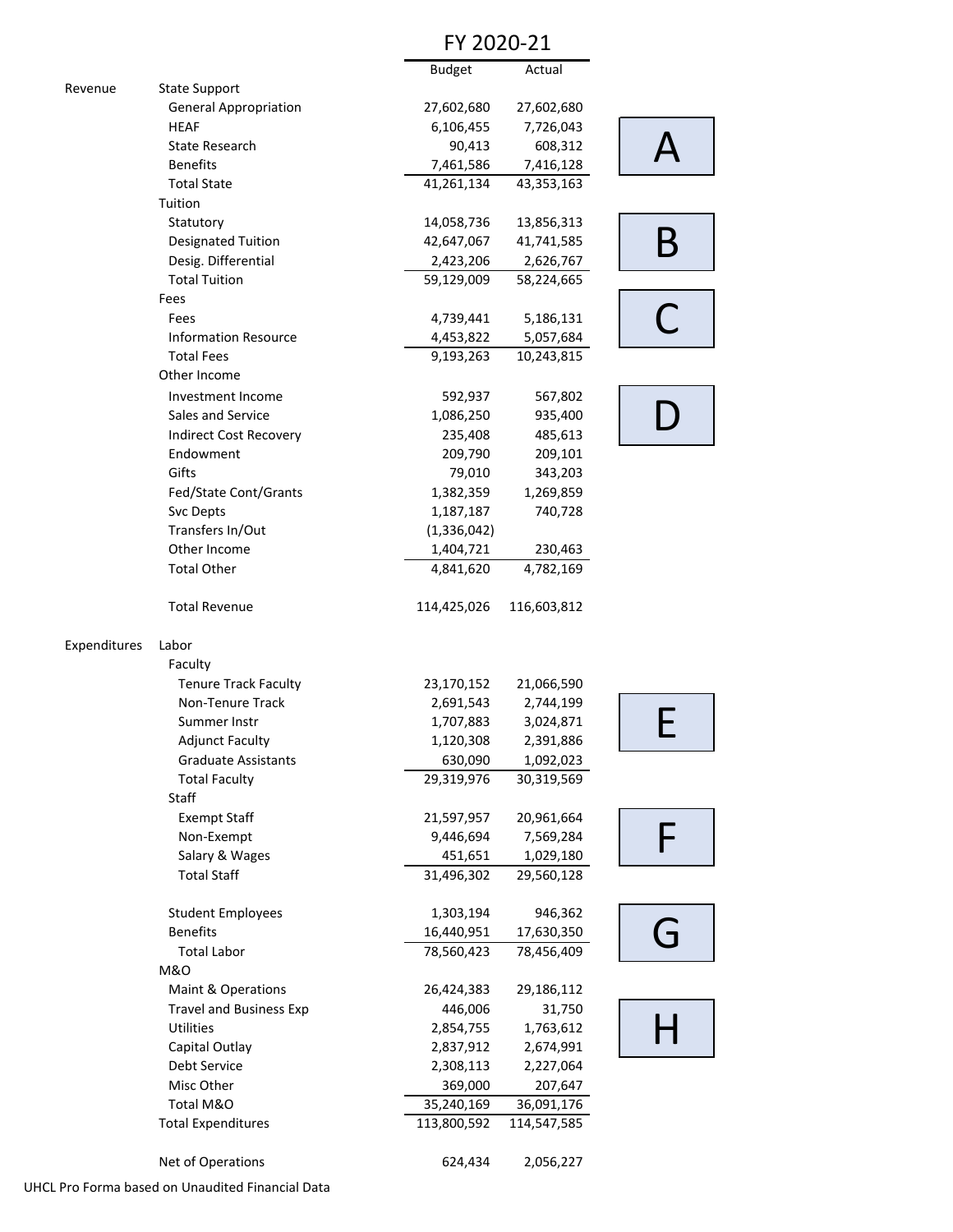### FY 2020‐21

|              |                                | <b>Budget</b> | Actual      |          |
|--------------|--------------------------------|---------------|-------------|----------|
| Revenue      | <b>State Support</b>           |               |             |          |
|              | <b>General Appropriation</b>   | 27,602,680    | 27,602,680  |          |
|              | <b>HEAF</b>                    | 6,106,455     | 7,726,043   |          |
|              | <b>State Research</b>          | 90,413        | 608,312     |          |
|              | <b>Benefits</b>                | 7,461,586     | 7,416,128   |          |
|              | <b>Total State</b>             | 41,261,134    | 43,353,163  |          |
|              | Tuition                        |               |             |          |
|              | Statutory                      | 14,058,736    | 13,856,313  |          |
|              | <b>Designated Tuition</b>      | 42,647,067    | 41,741,585  | B        |
|              | Desig. Differential            | 2,423,206     | 2,626,767   |          |
|              | <b>Total Tuition</b>           | 59,129,009    | 58,224,665  |          |
|              | Fees                           |               |             |          |
|              | Fees                           | 4,739,441     | 5,186,131   |          |
|              | <b>Information Resource</b>    | 4,453,822     | 5,057,684   |          |
|              | <b>Total Fees</b>              | 9,193,263     | 10,243,815  |          |
|              | Other Income                   |               |             |          |
|              | Investment Income              | 592,937       | 567,802     |          |
|              | Sales and Service              | 1,086,250     | 935,400     |          |
|              | <b>Indirect Cost Recovery</b>  | 235,408       | 485,613     |          |
|              | Endowment                      | 209,790       | 209,101     |          |
|              | Gifts                          | 79,010        | 343,203     |          |
|              | Fed/State Cont/Grants          | 1,382,359     | 1,269,859   |          |
|              | Svc Depts                      | 1,187,187     | 740,728     |          |
|              | Transfers In/Out               | (1, 336, 042) |             |          |
|              | Other Income                   | 1,404,721     | 230,463     |          |
|              | <b>Total Other</b>             | 4,841,620     | 4,782,169   |          |
|              | <b>Total Revenue</b>           | 114,425,026   | 116,603,812 |          |
| Expenditures | Labor                          |               |             |          |
|              | Faculty                        |               |             |          |
|              | <b>Tenure Track Faculty</b>    | 23,170,152    | 21,066,590  |          |
|              | Non-Tenure Track               | 2,691,543     | 2,744,199   |          |
|              | Summer Instr                   | 1,707,883     | 3,024,871   |          |
|              | <b>Adjunct Faculty</b>         | 1,120,308     | 2,391,886   |          |
|              | <b>Graduate Assistants</b>     | 630,090       | 1,092,023   |          |
|              | <b>Total Faculty</b>           | 29,319,976    | 30,319,569  |          |
|              | Staff                          |               |             |          |
|              | <b>Exempt Staff</b>            | 21,597,957    | 20,961,664  |          |
|              | Non-Exempt                     | 9,446,694     | 7,569,284   |          |
|              | Salary & Wages                 | 451,651       | 1,029,180   |          |
|              | <b>Total Staff</b>             | 31,496,302    | 29,560,128  |          |
|              | <b>Student Employees</b>       | 1,303,194     | 946,362     |          |
|              | <b>Benefits</b>                | 16,440,951    | 17,630,350  |          |
|              | <b>Total Labor</b>             | 78,560,423    | 78,456,409  | <u>ل</u> |
|              | <b>M&amp;O</b>                 |               |             |          |
|              | Maint & Operations             | 26,424,383    | 29,186,112  |          |
|              | <b>Travel and Business Exp</b> | 446,006       | 31,750      |          |
|              | <b>Utilities</b>               | 2,854,755     | 1,763,612   |          |
|              | Capital Outlay                 | 2,837,912     | 2,674,991   |          |
|              | Debt Service                   | 2,308,113     | 2,227,064   |          |
|              | Misc Other                     | 369,000       | 207,647     |          |
|              | Total M&O                      | 35,240,169    | 36,091,176  |          |
|              | <b>Total Expenditures</b>      | 113,800,592   | 114,547,585 |          |
|              |                                |               |             |          |
|              | Net of Operations              | 624,434       | 2,056,227   |          |

UHCL Pro Forma based on Unaudited Financial Data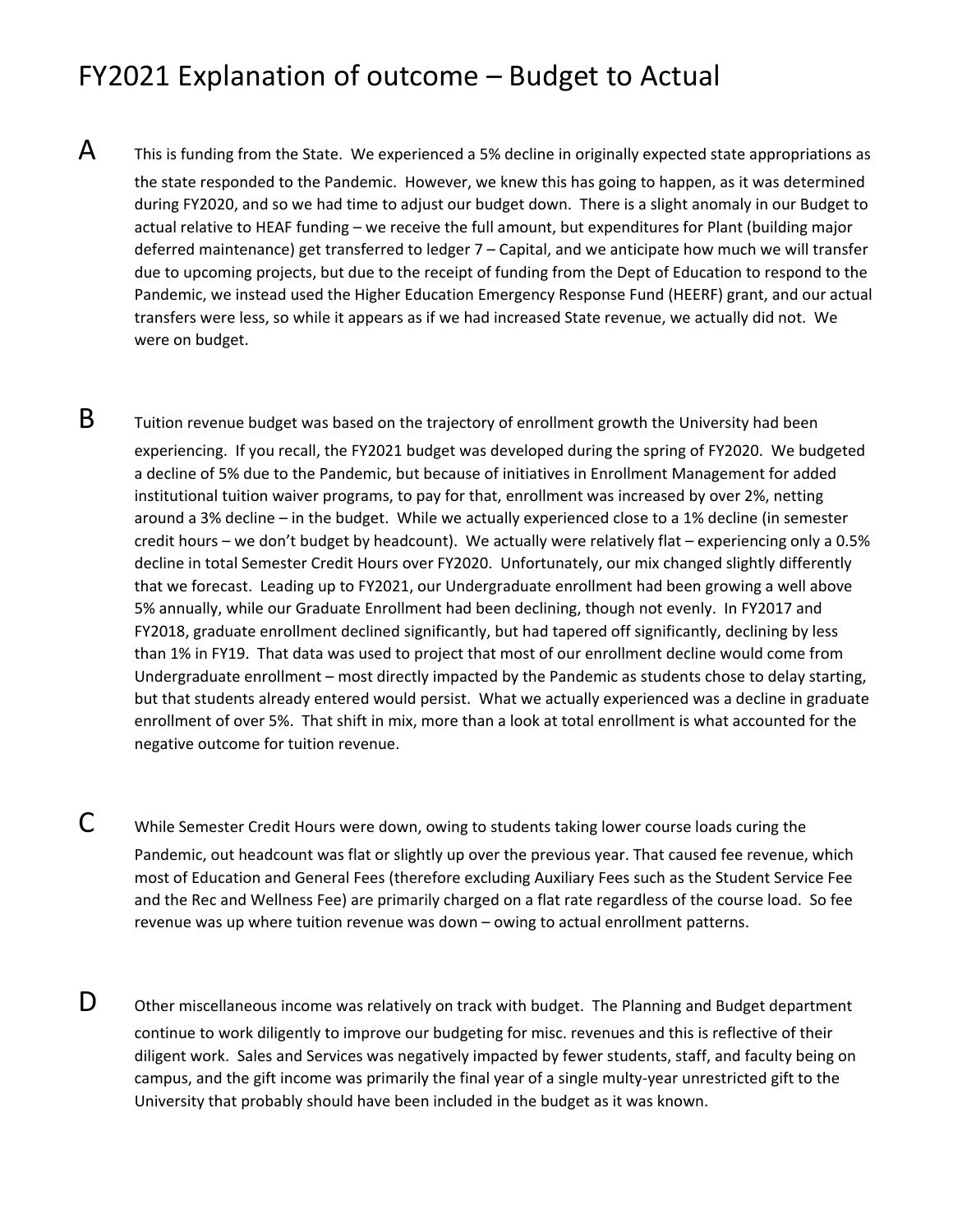## FY2021 Explanation of outcome – Budget to Actual

- $\mathsf A$  This is funding from the State. We experienced a 5% decline in originally expected state appropriations as the state responded to the Pandemic. However, we knew this has going to happen, as it was determined during FY2020, and so we had time to adjust our budget down. There is a slight anomaly in our Budget to actual relative to HEAF funding – we receive the full amount, but expenditures for Plant (building major deferred maintenance) get transferred to ledger 7 – Capital, and we anticipate how much we will transfer due to upcoming projects, but due to the receipt of funding from the Dept of Education to respond to the Pandemic, we instead used the Higher Education Emergency Response Fund (HEERF) grant, and our actual transfers were less, so while it appears as if we had increased State revenue, we actually did not. We were on budget.
- $\mathsf B$  Tuition revenue budget was based on the trajectory of enrollment growth the University had been experiencing. If you recall, the FY2021 budget was developed during the spring of FY2020. We budgeted a decline of 5% due to the Pandemic, but because of initiatives in Enrollment Management for added institutional tuition waiver programs, to pay for that, enrollment was increased by over 2%, netting around a 3% decline – in the budget. While we actually experienced close to a 1% decline (in semester credit hours – we don't budget by headcount). We actually were relatively flat – experiencing only a 0.5% decline in total Semester Credit Hours over FY2020. Unfortunately, our mix changed slightly differently that we forecast. Leading up to FY2021, our Undergraduate enrollment had been growing a well above 5% annually, while our Graduate Enrollment had been declining, though not evenly. In FY2017 and FY2018, graduate enrollment declined significantly, but had tapered off significantly, declining by less than 1% in FY19. That data was used to project that most of our enrollment decline would come from Undergraduate enrollment – most directly impacted by the Pandemic as students chose to delay starting, but that students already entered would persist. What we actually experienced was a decline in graduate enrollment of over 5%. That shift in mix, more than a look at total enrollment is what accounted for the negative outcome for tuition revenue.
- C While Semester Credit Hours were down, owing to students taking lower course loads curing the Pandemic, out headcount was flat or slightly up over the previous year. That caused fee revenue, which most of Education and General Fees (therefore excluding Auxiliary Fees such as the Student Service Fee and the Rec and Wellness Fee) are primarily charged on a flat rate regardless of the course load. So fee revenue was up where tuition revenue was down – owing to actual enrollment patterns.
- $\mathsf{D}\quad$  Other miscellaneous income was relatively on track with budget. The Planning and Budget department continue to work diligently to improve our budgeting for misc. revenues and this is reflective of their diligent work. Sales and Services was negatively impacted by fewer students, staff, and faculty being on campus, and the gift income was primarily the final year of a single multy‐year unrestricted gift to the University that probably should have been included in the budget as it was known.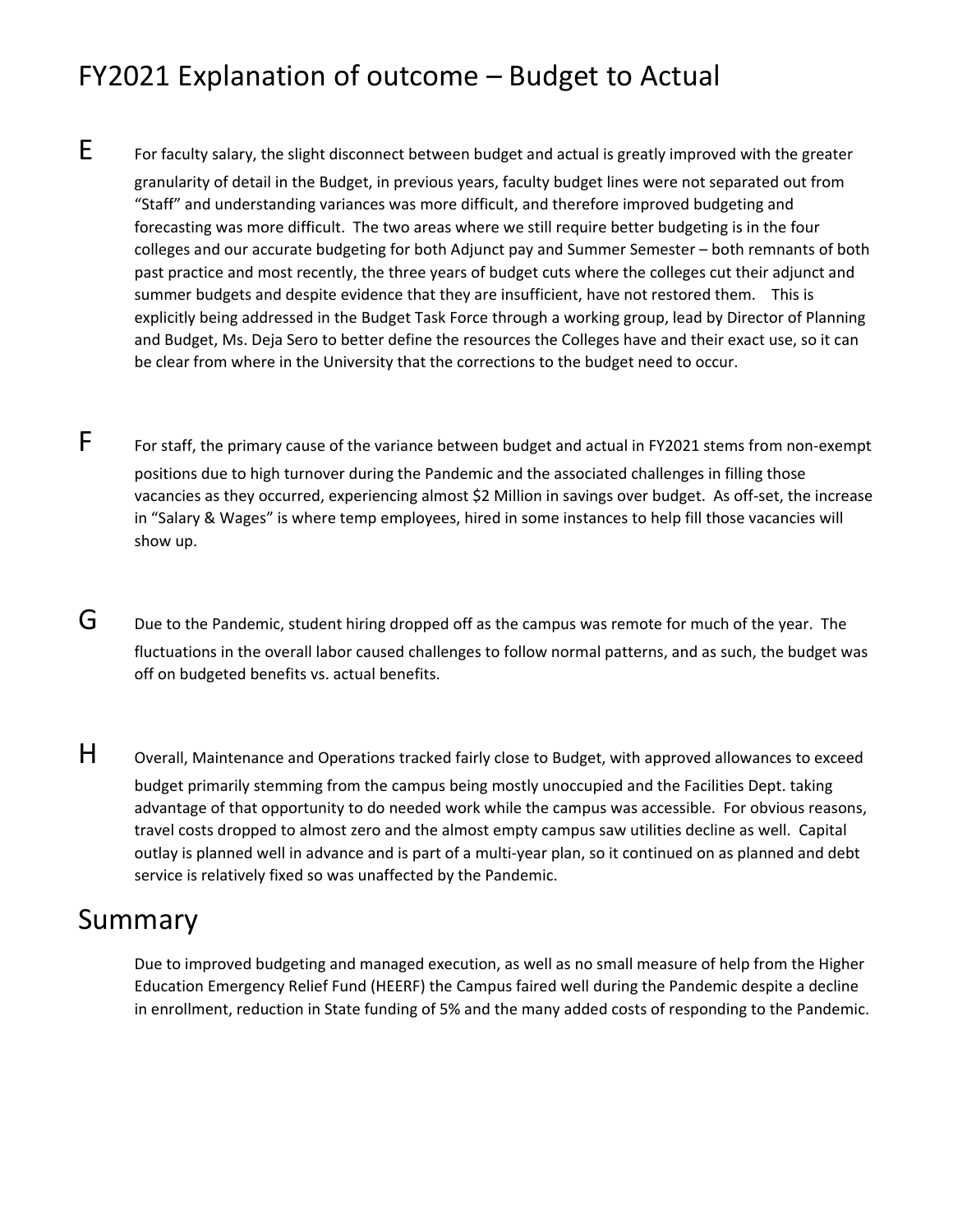# FY2021 Explanation of outcome – Budget to Actual

- E For faculty salary, the slight disconnect between budget and actual is greatly improved with the greater granularity of detail in the Budget, in previous years, faculty budget lines were not separated out from "Staff" and understanding variances was more difficult, and therefore improved budgeting and forecasting was more difficult. The two areas where we still require better budgeting is in the four colleges and our accurate budgeting for both Adjunct pay and Summer Semester – both remnants of both past practice and most recently, the three years of budget cuts where the colleges cut their adjunct and summer budgets and despite evidence that they are insufficient, have not restored them. This is explicitly being addressed in the Budget Task Force through a working group, lead by Director of Planning and Budget, Ms. Deja Sero to better define the resources the Colleges have and their exact use, so it can be clear from where in the University that the corrections to the budget need to occur.
- F For staff, the primary cause of the variance between budget and actual in FY2021 stems from non-exempt positions due to high turnover during the Pandemic and the associated challenges in filling those vacancies as they occurred, experiencing almost \$2 Million in savings over budget. As off‐set, the increase in "Salary & Wages" is where temp employees, hired in some instances to help fill those vacancies will show up.
- $G$  Due to the Pandemic, student hiring dropped off as the campus was remote for much of the year. The fluctuations in the overall labor caused challenges to follow normal patterns, and as such, the budget was off on budgeted benefits vs. actual benefits.
- H Overall, Maintenance and Operations tracked fairly close to Budget, with approved allowances to exceed budget primarily stemming from the campus being mostly unoccupied and the Facilities Dept. taking advantage of that opportunity to do needed work while the campus was accessible. For obvious reasons, travel costs dropped to almost zero and the almost empty campus saw utilities decline as well. Capital outlay is planned well in advance and is part of a multi‐year plan, so it continued on as planned and debt service is relatively fixed so was unaffected by the Pandemic.

### Summary

Due to improved budgeting and managed execution, as well as no small measure of help from the Higher Education Emergency Relief Fund (HEERF) the Campus faired well during the Pandemic despite a decline in enrollment, reduction in State funding of 5% and the many added costs of responding to the Pandemic.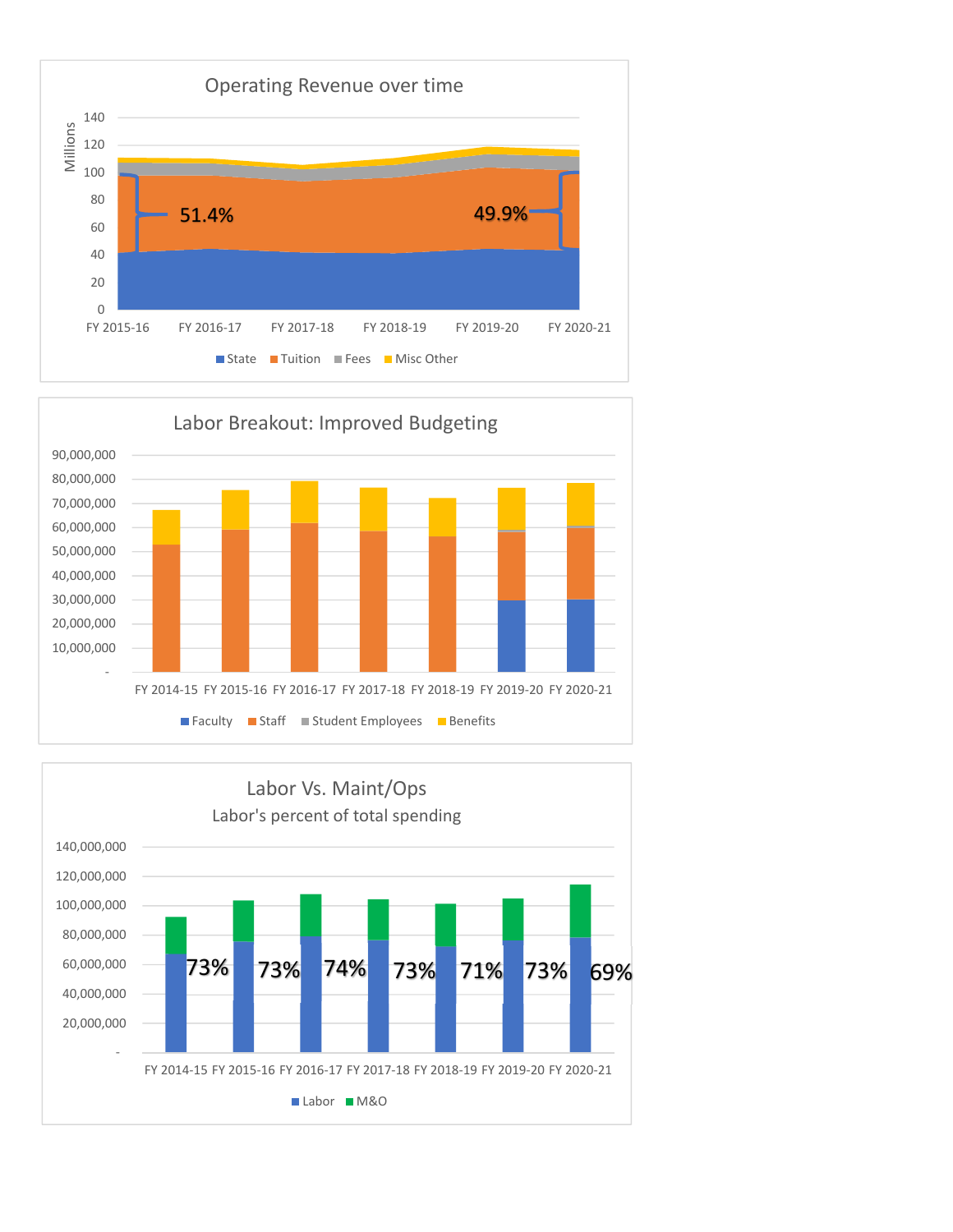



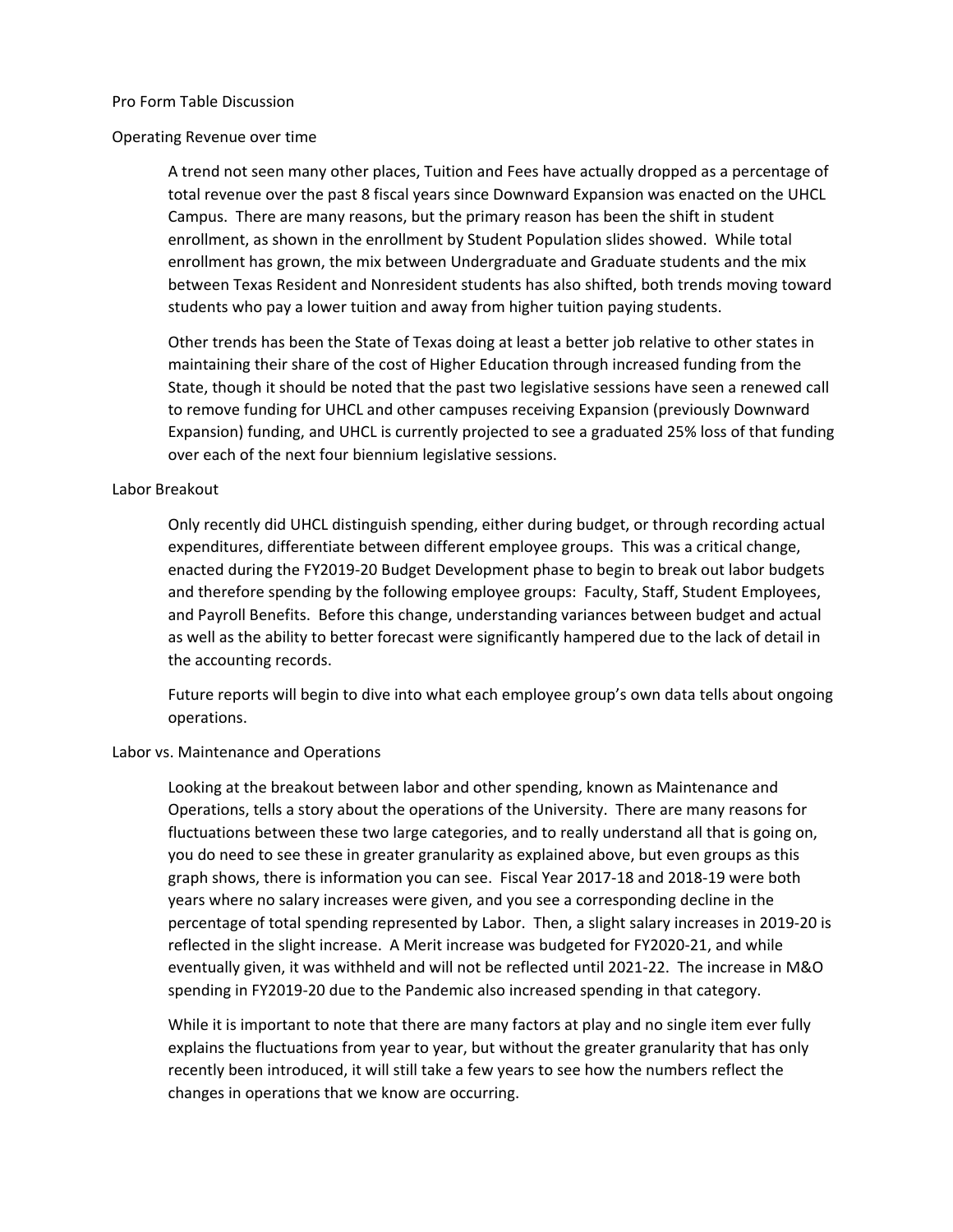### Pro Form Table Discussion

#### Operating Revenue over time

A trend not seen many other places, Tuition and Fees have actually dropped as a percentage of total revenue over the past 8 fiscal years since Downward Expansion was enacted on the UHCL Campus. There are many reasons, but the primary reason has been the shift in student enrollment, as shown in the enrollment by Student Population slides showed. While total enrollment has grown, the mix between Undergraduate and Graduate students and the mix between Texas Resident and Nonresident students has also shifted, both trends moving toward students who pay a lower tuition and away from higher tuition paying students.

Other trends has been the State of Texas doing at least a better job relative to other states in maintaining their share of the cost of Higher Education through increased funding from the State, though it should be noted that the past two legislative sessions have seen a renewed call to remove funding for UHCL and other campuses receiving Expansion (previously Downward Expansion) funding, and UHCL is currently projected to see a graduated 25% loss of that funding over each of the next four biennium legislative sessions.

#### Labor Breakout

Only recently did UHCL distinguish spending, either during budget, or through recording actual expenditures, differentiate between different employee groups. This was a critical change, enacted during the FY2019‐20 Budget Development phase to begin to break out labor budgets and therefore spending by the following employee groups: Faculty, Staff, Student Employees, and Payroll Benefits. Before this change, understanding variances between budget and actual as well as the ability to better forecast were significantly hampered due to the lack of detail in the accounting records.

Future reports will begin to dive into what each employee group's own data tells about ongoing operations.

### Labor vs. Maintenance and Operations

Looking at the breakout between labor and other spending, known as Maintenance and Operations, tells a story about the operations of the University. There are many reasons for fluctuations between these two large categories, and to really understand all that is going on, you do need to see these in greater granularity as explained above, but even groups as this graph shows, there is information you can see. Fiscal Year 2017‐18 and 2018‐19 were both years where no salary increases were given, and you see a corresponding decline in the percentage of total spending represented by Labor. Then, a slight salary increases in 2019‐20 is reflected in the slight increase. A Merit increase was budgeted for FY2020‐21, and while eventually given, it was withheld and will not be reflected until 2021‐22. The increase in M&O spending in FY2019‐20 due to the Pandemic also increased spending in that category.

While it is important to note that there are many factors at play and no single item ever fully explains the fluctuations from year to year, but without the greater granularity that has only recently been introduced, it will still take a few years to see how the numbers reflect the changes in operations that we know are occurring.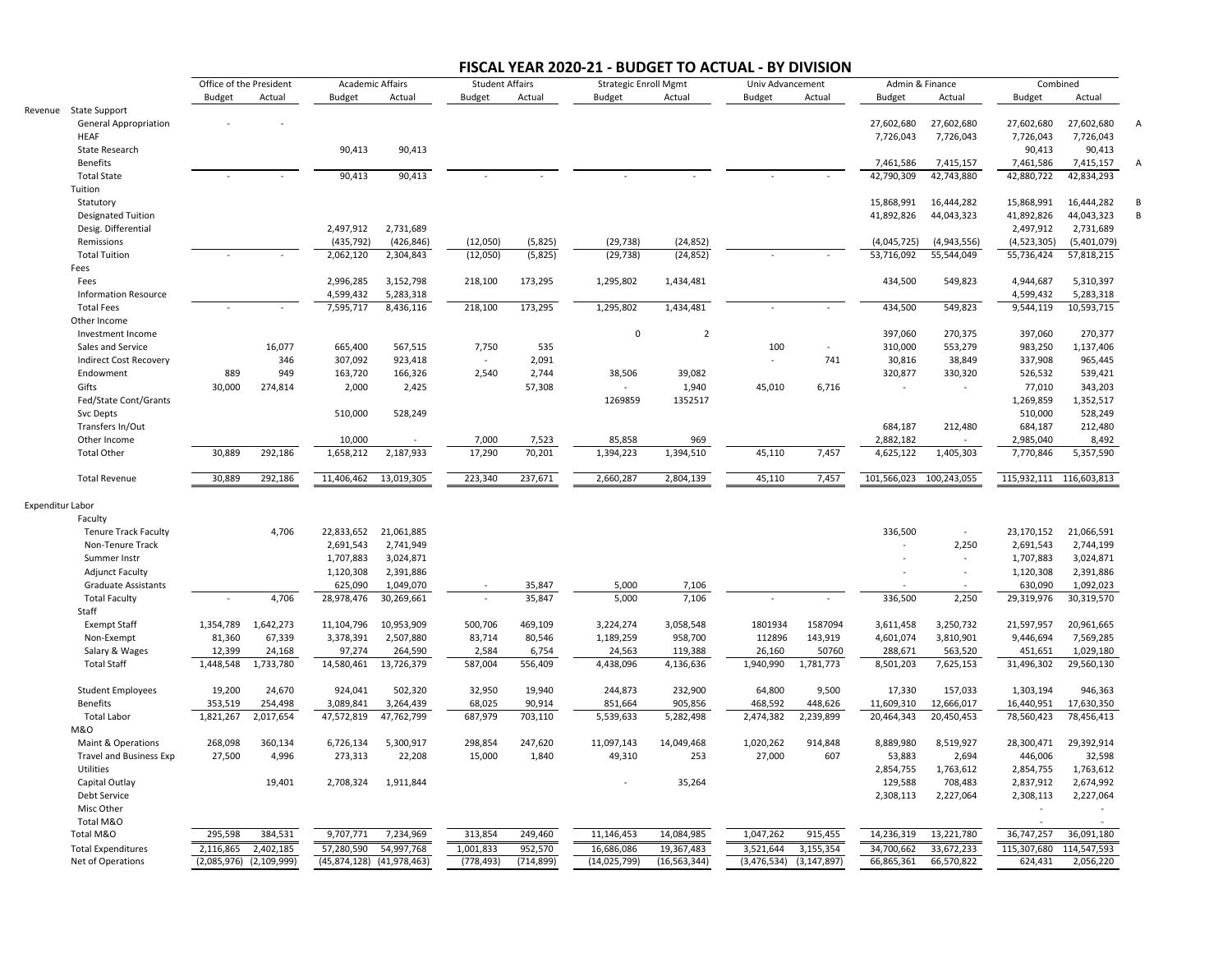#### **FISCAL YEAR 2020‐21 ‐ BUDGET TO ACTUAL ‐ BY DIVISION**

|                                             | Office of the President |               | <b>Academic Affairs</b> |                | <b>Student Affairs</b> |            | <b>Strategic Enroll Mgmt</b> |                | Univ Advancement |               | Admin & Finance |                          | Combined                |             |          |
|---------------------------------------------|-------------------------|---------------|-------------------------|----------------|------------------------|------------|------------------------------|----------------|------------------|---------------|-----------------|--------------------------|-------------------------|-------------|----------|
|                                             | <b>Budget</b>           | Actual        | Budget                  | Actual         | Budget                 | Actual     | Budget                       | Actual         | Budget           | Actual        | <b>Budget</b>   | Actual                   | Budget                  | Actual      |          |
| Revenue State Support                       |                         |               |                         |                |                        |            |                              |                |                  |               |                 |                          |                         |             |          |
| <b>General Appropriation</b>                |                         |               |                         |                |                        |            |                              |                |                  |               | 27,602,680      | 27,602,680               | 27,602,680              | 27,602,680  |          |
| <b>HEAF</b>                                 |                         |               |                         |                |                        |            |                              |                |                  |               | 7,726,043       | 7,726,043                | 7,726,043               | 7,726,043   |          |
| State Research                              |                         |               | 90,413                  | 90,413         |                        |            |                              |                |                  |               |                 |                          | 90,413                  | 90,413      |          |
| <b>Benefits</b>                             |                         |               |                         |                |                        |            |                              |                |                  |               | 7,461,586       | 7,415,157                | 7,461,586               | 7,415,157   | $\Delta$ |
| <b>Total State</b>                          |                         |               | 90,413                  | 90,413         |                        |            |                              |                |                  |               | 42,790,309      | 42,743,880               | 42,880,722              | 42,834,293  |          |
| Tuition                                     |                         |               |                         |                |                        |            |                              |                |                  |               |                 |                          |                         |             |          |
| Statutory                                   |                         |               |                         |                |                        |            |                              |                |                  |               | 15,868,991      | 16,444,282               | 15,868,991              | 16,444,282  |          |
| <b>Designated Tuition</b>                   |                         |               |                         |                |                        |            |                              |                |                  |               | 41,892,826      | 44,043,323               | 41,892,826              | 44,043,323  | B        |
| Desig. Differential                         |                         |               | 2,497,912               | 2,731,689      |                        |            |                              |                |                  |               |                 |                          | 2,497,912               | 2,731,689   |          |
| Remissions                                  |                         |               | (435, 792)              | (426, 846)     | (12,050)               | (5,825)    | (29, 738)                    | (24, 852)      |                  |               | (4,045,725)     | (4,943,556)              | (4,523,305)             | (5,401,079) |          |
| <b>Total Tuition</b>                        |                         |               | 2,062,120               | 2,304,843      | (12,050)               | (5,825)    | (29, 738)                    | (24, 852)      |                  |               | 53,716,092      | 55,544,049               | 55,736,424              | 57,818,215  |          |
| Fees                                        |                         |               |                         |                |                        |            |                              |                |                  |               |                 |                          |                         |             |          |
| Fees                                        |                         |               | 2,996,285               | 3,152,798      | 218,100                | 173,295    | 1,295,802                    | 1,434,481      |                  |               | 434,500         | 549,823                  | 4,944,687               | 5,310,397   |          |
| <b>Information Resource</b>                 |                         |               | 4,599,432               | 5,283,318      |                        |            |                              |                |                  |               |                 |                          | 4,599,432               | 5,283,318   |          |
| <b>Total Fees</b>                           |                         |               | 7,595,717               | 8,436,116      | 218,100                | 173,295    | 1,295,802                    | 1,434,481      | $\mathbf{r}$     | $\mathbf{r}$  | 434,500         | 549,823                  | 9,544,119               | 10,593,715  |          |
| Other Income                                |                         |               |                         |                |                        |            |                              |                |                  |               |                 |                          |                         |             |          |
| Investment Income                           |                         |               |                         |                |                        |            | $\Omega$                     | $\overline{2}$ |                  |               | 397,060         | 270,375                  | 397,060                 | 270,377     |          |
| Sales and Service                           |                         | 16,077        | 665,400                 | 567,515        | 7,750                  | 535        |                              |                | 100              | $\sim$        | 310,000         | 553,279                  | 983,250                 | 1,137,406   |          |
| Indirect Cost Recovery                      |                         | 346           | 307,092                 | 923,418        |                        | 2,091      |                              |                | ÷                | 741           | 30,816          | 38,849                   | 337,908                 | 965,445     |          |
| Endowment                                   | 889                     | 949           | 163,720                 | 166,326        | 2,540                  | 2,744      | 38,506                       | 39,082         |                  |               | 320,877         | 330,320                  | 526,532                 | 539,421     |          |
| Gifts                                       | 30,000                  | 274,814       | 2,000                   | 2,425          |                        | 57,308     |                              | 1,940          | 45,010           | 6,716         | $\sim$          | $\sim$                   | 77,010                  | 343,203     |          |
| Fed/State Cont/Grants                       |                         |               |                         |                |                        |            | 1269859                      | 1352517        |                  |               |                 |                          | 1,269,859               | 1,352,517   |          |
| Svc Depts                                   |                         |               | 510,000                 | 528,249        |                        |            |                              |                |                  |               |                 |                          | 510,000                 | 528,249     |          |
| Transfers In/Out                            |                         |               |                         |                |                        |            |                              |                |                  |               | 684.187         | 212,480                  | 684,187                 | 212,480     |          |
| Other Income                                |                         |               | 10,000                  |                | 7,000                  | 7,523      | 85,858                       | 969            |                  |               | 2,882,182       |                          | 2,985,040               | 8,492       |          |
| <b>Total Other</b>                          | 30,889                  | 292,186       | 1,658,212               | 2,187,933      | 17,290                 | 70,201     | 1,394,223                    | 1,394,510      | 45,110           | 7,457         | 4,625,122       | 1,405,303                | 7,770,846               | 5,357,590   |          |
| <b>Total Revenue</b>                        | 30,889                  | 292,186       | 11,406,462              | 13,019,305     | 223,340                | 237,671    | 2,660,287                    | 2,804,139      | 45,110           | 7,457         | 101,566,023     | 100,243,055              | 115,932,111 116,603,813 |             |          |
|                                             |                         |               |                         |                |                        |            |                              |                |                  |               |                 |                          |                         |             |          |
| Expenditur Labor                            |                         |               |                         |                |                        |            |                              |                |                  |               |                 |                          |                         |             |          |
| Faculty                                     |                         |               |                         |                |                        |            |                              |                |                  |               |                 |                          |                         |             |          |
| <b>Tenure Track Faculty</b>                 |                         | 4,706         | 22,833,652              | 21,061,885     |                        |            |                              |                |                  |               | 336,500         |                          | 23,170,152              | 21,066,591  |          |
| Non-Tenure Track                            |                         |               | 2,691,543               | 2,741,949      |                        |            |                              |                |                  |               |                 | 2,250                    | 2,691,543               | 2,744,199   |          |
| Summer Instr                                |                         |               | 1,707,883               | 3,024,871      |                        |            |                              |                |                  |               |                 |                          | 1,707,883               | 3,024,871   |          |
| <b>Adjunct Faculty</b>                      |                         |               | 1,120,308               | 2,391,886      |                        |            |                              |                |                  |               |                 |                          | 1,120,308               | 2,391,886   |          |
| <b>Graduate Assistants</b>                  |                         |               | 625,090                 | 1,049,070      |                        | 35,847     | 5,000                        | 7,106          |                  |               |                 |                          | 630,090                 | 1,092,023   |          |
| <b>Total Faculty</b>                        |                         | 4,706         | 28,978,476              | 30,269,661     | $\sim$                 | 35,847     | 5,000                        | 7,106          |                  | $\sim$        | 336,500         | 2,250                    | 29,319,976              | 30,319,570  |          |
| Staff                                       |                         |               |                         |                |                        |            |                              |                |                  |               |                 |                          |                         |             |          |
| <b>Exempt Staff</b>                         | 1,354,789               | 1,642,273     | 11,104,796              | 10,953,909     | 500,706                | 469,109    | 3,224,274                    | 3,058,548      | 1801934          | 1587094       | 3,611,458       | 3,250,732                | 21,597,957              | 20,961,665  |          |
| Non-Exempt                                  | 81,360                  | 67,339        | 3,378,391               | 2,507,880      | 83,714                 | 80,546     | 1,189,259                    | 958,700        | 112896           | 143,919       | 4,601,074       | 3,810,901                | 9,446,694               | 7,569,285   |          |
| Salary & Wages                              | 12,399                  | 24,168        | 97,274                  | 264,590        | 2,584                  | 6,754      | 24,563                       | 119,388        | 26,160           | 50760         | 288,671         | 563,520                  | 451,651                 | 1,029,180   |          |
| <b>Total Staff</b>                          | 1,448,548               | 1,733,780     | 14,580,461              | 13,726,379     | 587,004                | 556,409    | 4,438,096                    | 4,136,636      | 1,940,990        | 1,781,773     | 8,501,203       | 7,625,153                | 31,496,302              | 29,560,130  |          |
|                                             |                         |               |                         |                |                        |            |                              |                |                  |               |                 |                          |                         |             |          |
|                                             | 19,200                  | 24,670        | 924,041                 | 502,320        | 32,950                 | 19,940     | 244,873                      | 232,900        | 64,800           | 9,500         | 17,330          | 157,033                  | 1,303,194               | 946,363     |          |
| <b>Student Employees</b><br><b>Benefits</b> | 353,519                 | 254,498       | 3,089,841               | 3,264,439      | 68,025                 | 90,914     | 851,664                      | 905,856        | 468,592          | 448,626       | 11,609,310      |                          | 16,440,951              | 17,630,350  |          |
| <b>Total Labor</b>                          | 1,821,267               | 2,017,654     | 47,572,819              | 47,762,799     | 687,979                | 703,110    | 5,539,633                    | 5,282,498      | 2,474,382        | 2,239,899     | 20,464,343      | 12,666,017<br>20,450,453 | 78,560,423              | 78,456,413  |          |
| <b>M&amp;O</b>                              |                         |               |                         |                |                        |            |                              |                |                  |               |                 |                          |                         |             |          |
|                                             |                         |               |                         |                |                        |            |                              |                |                  |               |                 |                          |                         |             |          |
| Maint & Operations                          | 268,098                 | 360,134       | 6,726,134               | 5,300,917      | 298,854                | 247,620    | 11,097,143                   | 14,049,468     | 1,020,262        | 914,848       | 8,889,980       | 8,519,927                | 28,300,471              | 29,392,914  |          |
| <b>Travel and Business Exp</b>              | 27,500                  | 4,996         | 273,313                 | 22,208         | 15,000                 | 1,840      | 49,310                       | 253            | 27,000           | 607           | 53,883          | 2,694                    | 446,006                 | 32,598      |          |
| Utilities                                   |                         |               |                         |                |                        |            |                              |                |                  |               | 2,854,755       | 1,763,612                | 2,854,755               | 1,763,612   |          |
| Capital Outlay                              |                         | 19,401        | 2,708,324               | 1,911,844      |                        |            |                              | 35,264         |                  |               | 129,588         | 708,483                  | 2,837,912               | 2,674,992   |          |
| Debt Service                                |                         |               |                         |                |                        |            |                              |                |                  |               | 2,308,113       | 2,227,064                | 2,308,113               | 2,227,064   |          |
| Misc Other                                  |                         |               |                         |                |                        |            |                              |                |                  |               |                 |                          |                         |             |          |
| Total M&O                                   |                         |               |                         |                |                        |            |                              |                |                  |               |                 |                          |                         |             |          |
| Total M&O                                   | 295.598                 | 384,531       | 9,707,771               | 7,234,969      | 313,854                | 249,460    | 11,146,453                   | 14,084,985     | 1,047,262        | 915,455       | 14,236,319      | 13,221,780               | 36,747,257              | 36,091,180  |          |
| <b>Total Expenditures</b>                   | 2.116.865               | 2.402.185     | 57.280.590              | 54,997,768     | 1.001.833              | 952.570    | 16,686,086                   | 19.367.483     | 3,521,644        | 3,155,354     | 34.700.662      | 33,672,233               | 115.307.680             | 114.547.593 |          |
| Net of Operations                           | (2,085,976)             | (2, 109, 999) | (45,874,128)            | (41, 978, 463) | (778, 493)             | (714, 899) | (14, 025, 799)               | (16, 563, 344) | (3, 476, 534)    | (3, 147, 897) | 66,865,361      | 66,570,822               | 624,431                 | 2,056,220   |          |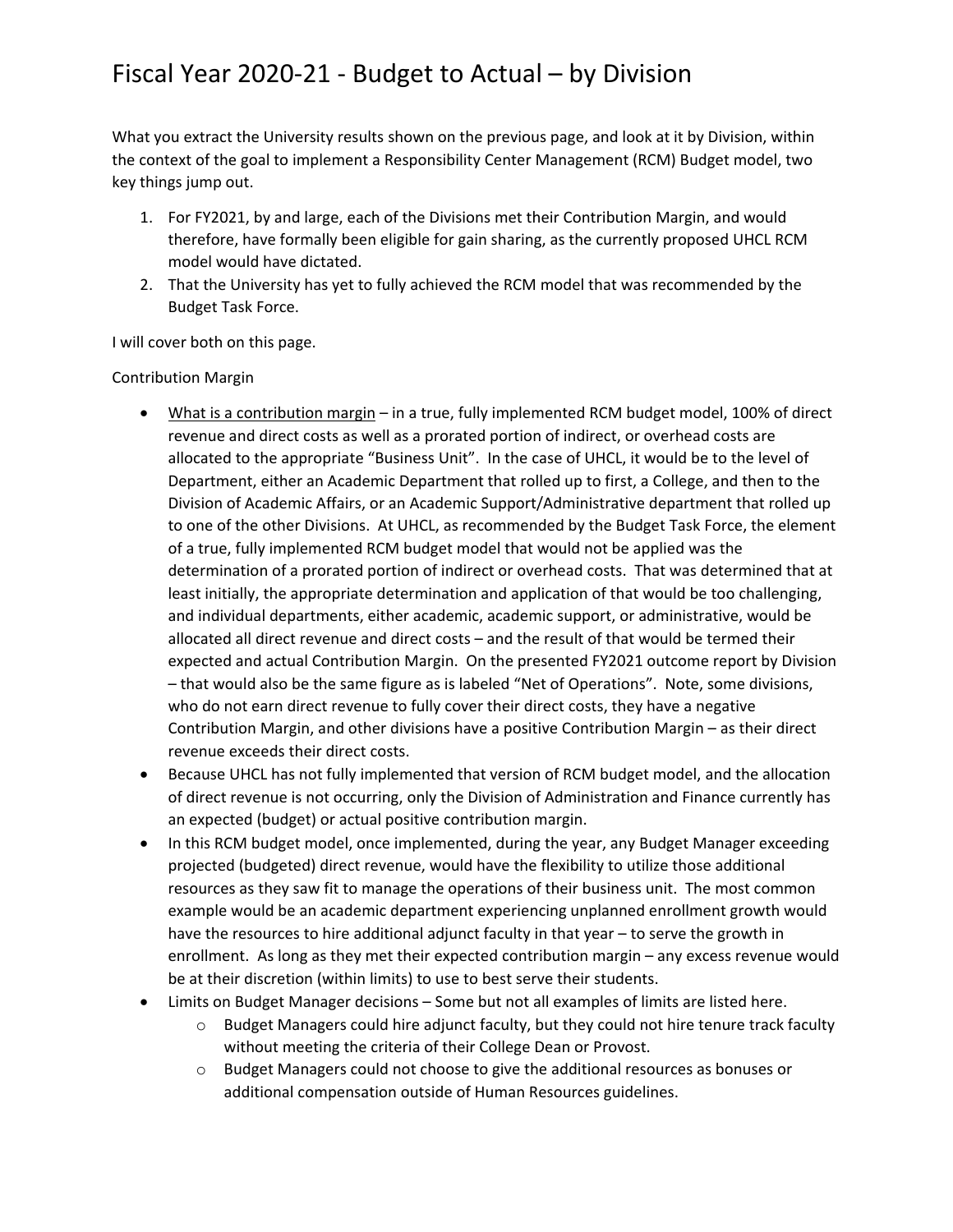What you extract the University results shown on the previous page, and look at it by Division, within the context of the goal to implement a Responsibility Center Management (RCM) Budget model, two key things jump out.

- 1. For FY2021, by and large, each of the Divisions met their Contribution Margin, and would therefore, have formally been eligible for gain sharing, as the currently proposed UHCL RCM model would have dictated.
- 2. That the University has yet to fully achieved the RCM model that was recommended by the Budget Task Force.

I will cover both on this page.

Contribution Margin

- What is a contribution margin in a true, fully implemented RCM budget model, 100% of direct revenue and direct costs as well as a prorated portion of indirect, or overhead costs are allocated to the appropriate "Business Unit". In the case of UHCL, it would be to the level of Department, either an Academic Department that rolled up to first, a College, and then to the Division of Academic Affairs, or an Academic Support/Administrative department that rolled up to one of the other Divisions. At UHCL, as recommended by the Budget Task Force, the element of a true, fully implemented RCM budget model that would not be applied was the determination of a prorated portion of indirect or overhead costs. That was determined that at least initially, the appropriate determination and application of that would be too challenging, and individual departments, either academic, academic support, or administrative, would be allocated all direct revenue and direct costs – and the result of that would be termed their expected and actual Contribution Margin. On the presented FY2021 outcome report by Division – that would also be the same figure as is labeled "Net of Operations". Note, some divisions, who do not earn direct revenue to fully cover their direct costs, they have a negative Contribution Margin, and other divisions have a positive Contribution Margin – as their direct revenue exceeds their direct costs.
- Because UHCL has not fully implemented that version of RCM budget model, and the allocation of direct revenue is not occurring, only the Division of Administration and Finance currently has an expected (budget) or actual positive contribution margin.
- In this RCM budget model, once implemented, during the year, any Budget Manager exceeding projected (budgeted) direct revenue, would have the flexibility to utilize those additional resources as they saw fit to manage the operations of their business unit. The most common example would be an academic department experiencing unplanned enrollment growth would have the resources to hire additional adjunct faculty in that year – to serve the growth in enrollment. As long as they met their expected contribution margin – any excess revenue would be at their discretion (within limits) to use to best serve their students.
- Limits on Budget Manager decisions Some but not all examples of limits are listed here.
	- $\circ$  Budget Managers could hire adjunct faculty, but they could not hire tenure track faculty without meeting the criteria of their College Dean or Provost.
	- $\circ$  Budget Managers could not choose to give the additional resources as bonuses or additional compensation outside of Human Resources guidelines.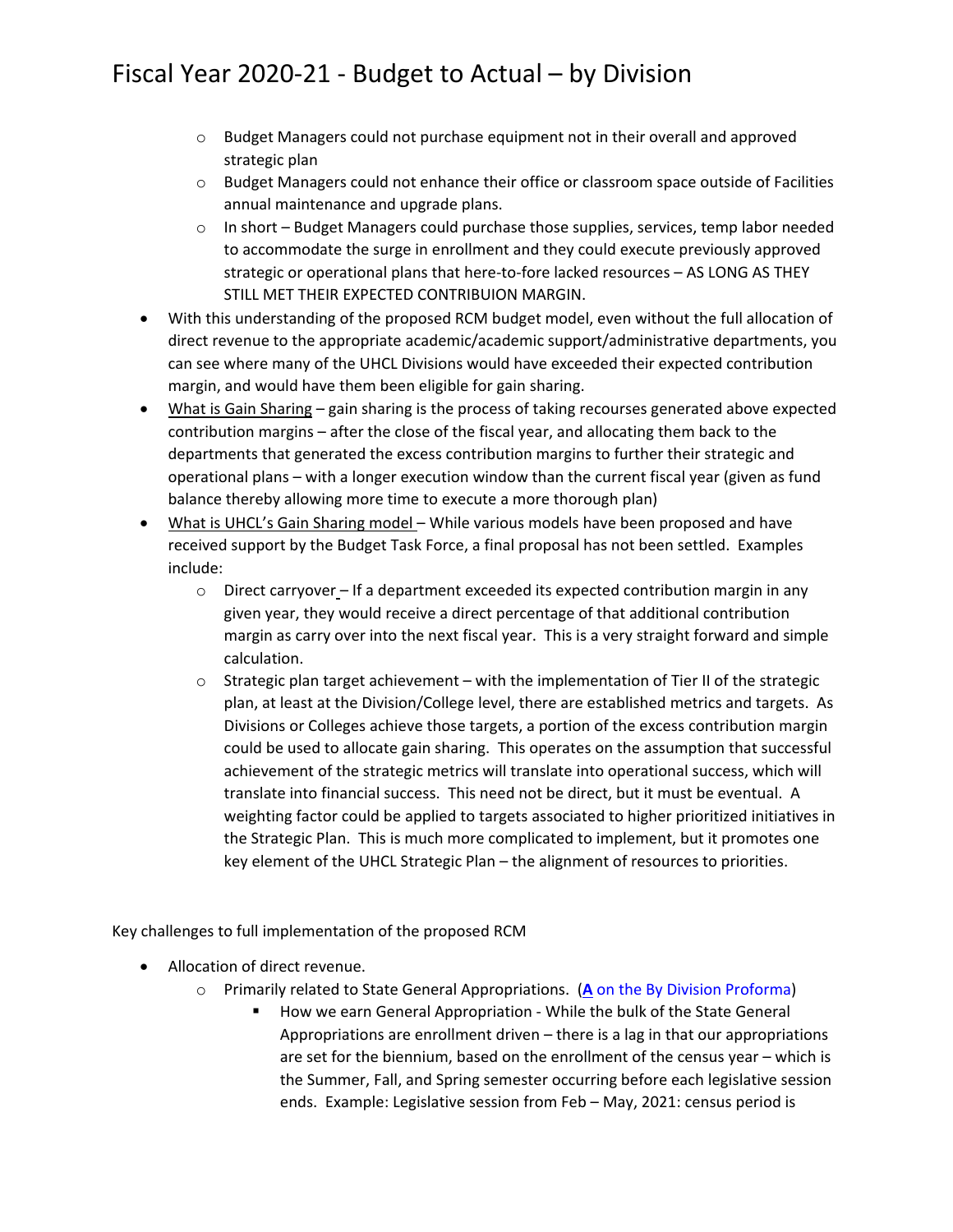- o Budget Managers could not purchase equipment not in their overall and approved strategic plan
- o Budget Managers could not enhance their office or classroom space outside of Facilities annual maintenance and upgrade plans.
- $\circ$  In short Budget Managers could purchase those supplies, services, temp labor needed to accommodate the surge in enrollment and they could execute previously approved strategic or operational plans that here-to-fore lacked resources - AS LONG AS THEY STILL MET THEIR EXPECTED CONTRIBUION MARGIN.
- With this understanding of the proposed RCM budget model, even without the full allocation of direct revenue to the appropriate academic/academic support/administrative departments, you can see where many of the UHCL Divisions would have exceeded their expected contribution margin, and would have them been eligible for gain sharing.
- What is Gain Sharing gain sharing is the process of taking recourses generated above expected contribution margins – after the close of the fiscal year, and allocating them back to the departments that generated the excess contribution margins to further their strategic and operational plans – with a longer execution window than the current fiscal year (given as fund balance thereby allowing more time to execute a more thorough plan)
- What is UHCL's Gain Sharing model While various models have been proposed and have received support by the Budget Task Force, a final proposal has not been settled. Examples include:
	- $\circ$  Direct carryover If a department exceeded its expected contribution margin in any given year, they would receive a direct percentage of that additional contribution margin as carry over into the next fiscal year. This is a very straight forward and simple calculation.
	- $\circ$  Strategic plan target achievement with the implementation of Tier II of the strategic plan, at least at the Division/College level, there are established metrics and targets. As Divisions or Colleges achieve those targets, a portion of the excess contribution margin could be used to allocate gain sharing. This operates on the assumption that successful achievement of the strategic metrics will translate into operational success, which will translate into financial success. This need not be direct, but it must be eventual. A weighting factor could be applied to targets associated to higher prioritized initiatives in the Strategic Plan. This is much more complicated to implement, but it promotes one key element of the UHCL Strategic Plan – the alignment of resources to priorities.

Key challenges to full implementation of the proposed RCM

- Allocation of direct revenue.
	- o Primarily related to State General Appropriations. (**A** on the By Division Proforma)
		- How we earn General Appropriation While the bulk of the State General Appropriations are enrollment driven – there is a lag in that our appropriations are set for the biennium, based on the enrollment of the census year – which is the Summer, Fall, and Spring semester occurring before each legislative session ends. Example: Legislative session from Feb – May, 2021: census period is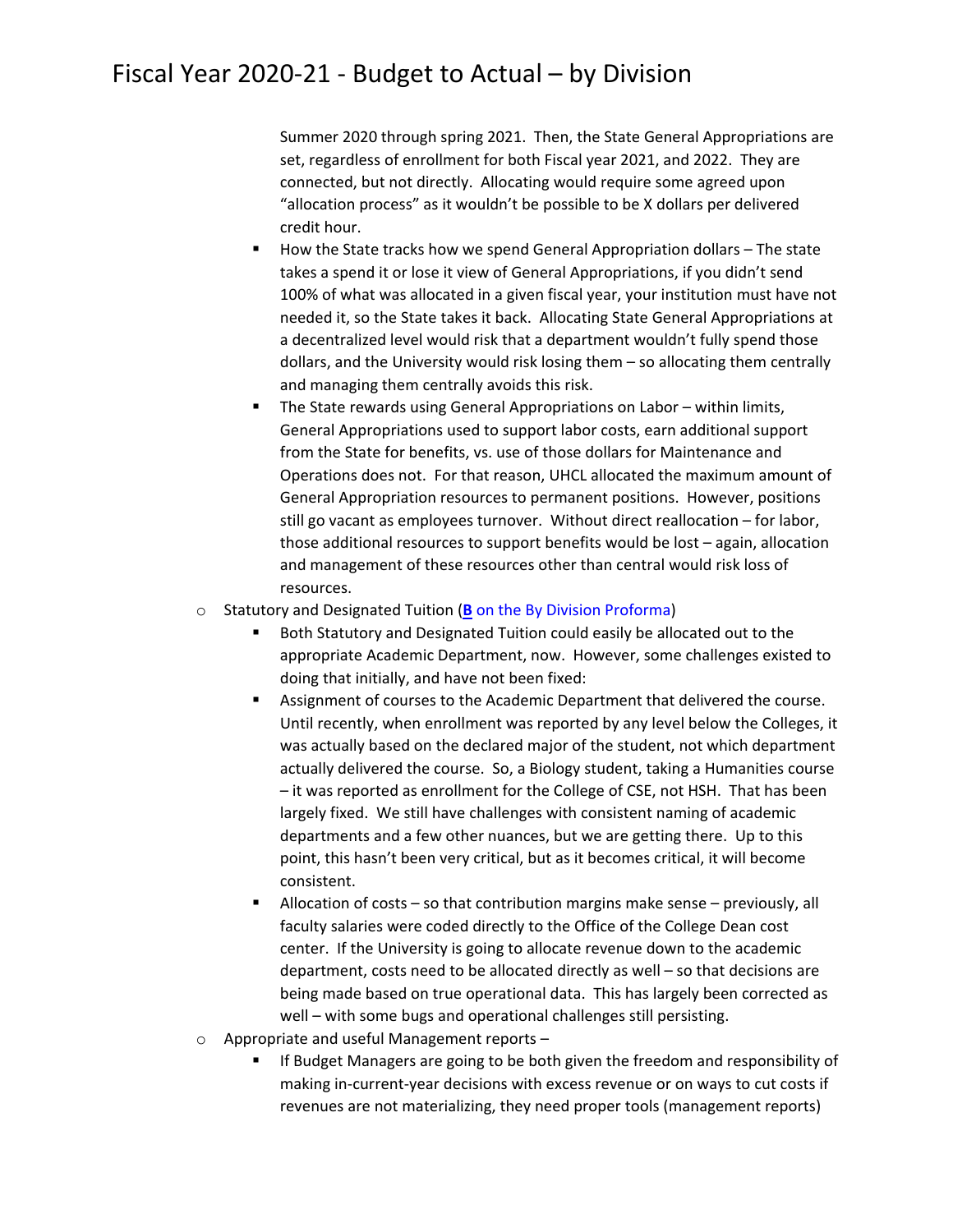Summer 2020 through spring 2021. Then, the State General Appropriations are set, regardless of enrollment for both Fiscal year 2021, and 2022. They are connected, but not directly. Allocating would require some agreed upon "allocation process" as it wouldn't be possible to be X dollars per delivered credit hour.

- How the State tracks how we spend General Appropriation dollars The state takes a spend it or lose it view of General Appropriations, if you didn't send 100% of what was allocated in a given fiscal year, your institution must have not needed it, so the State takes it back. Allocating State General Appropriations at a decentralized level would risk that a department wouldn't fully spend those dollars, and the University would risk losing them – so allocating them centrally and managing them centrally avoids this risk.
- The State rewards using General Appropriations on Labor within limits, General Appropriations used to support labor costs, earn additional support from the State for benefits, vs. use of those dollars for Maintenance and Operations does not. For that reason, UHCL allocated the maximum amount of General Appropriation resources to permanent positions. However, positions still go vacant as employees turnover. Without direct reallocation – for labor, those additional resources to support benefits would be lost – again, allocation and management of these resources other than central would risk loss of resources.
- o Statutory and Designated Tuition (**B** on the By Division Proforma)
	- Both Statutory and Designated Tuition could easily be allocated out to the appropriate Academic Department, now. However, some challenges existed to doing that initially, and have not been fixed:
	- Assignment of courses to the Academic Department that delivered the course. Until recently, when enrollment was reported by any level below the Colleges, it was actually based on the declared major of the student, not which department actually delivered the course. So, a Biology student, taking a Humanities course – it was reported as enrollment for the College of CSE, not HSH. That has been largely fixed. We still have challenges with consistent naming of academic departments and a few other nuances, but we are getting there. Up to this point, this hasn't been very critical, but as it becomes critical, it will become consistent.
	- Allocation of costs so that contribution margins make sense previously, all faculty salaries were coded directly to the Office of the College Dean cost center. If the University is going to allocate revenue down to the academic department, costs need to be allocated directly as well – so that decisions are being made based on true operational data. This has largely been corrected as well – with some bugs and operational challenges still persisting.
- o Appropriate and useful Management reports
	- If Budget Managers are going to be both given the freedom and responsibility of making in‐current‐year decisions with excess revenue or on ways to cut costs if revenues are not materializing, they need proper tools (management reports)